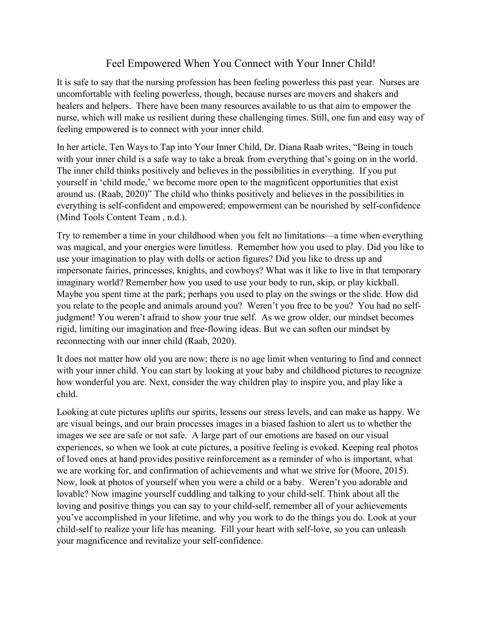## Feel Empowered When You Connect with Your Inner Child!

It is safe to say that the nursing profession has been feeling powerless this past year. Nurses are uncomfortable with feeling powerless, though, because nurses are movers and shakers and healers and helpers. There have been many resources available to us that aim to empower the nurse, which will make us resilient during these challenging times. Still, one fun and easy way of feeling empowered is to connect with your inner child.

In her article, Ten Ways to Tap into Your Inner Child, Dr. Diana Raab writes, "Being in touch with your inner child is a safe way to take a break from everything that's going on in the world. The inner child thinks positively and believes in the possibilities in everything. If you put yourself in 'child mode,' we become more open to the magnificent opportunities that exist around us. (Raab, 2020)" The child who thinks positively and believes in the possibilities in everything is self-confident and empowered; empowerment can be nourished by self-confidence (Mind Tools Content Team , n.d.).

Try to remember a time in your childhood when you felt no limitations—a time when everything was magical, and your energies were limitless. Remember how you used to play. Did you like to use your imagination to play with dolls or action figures? Did you like to dress up and impersonate fairies, princesses, knights, and cowboys? What was it like to live in that temporary imaginary world? Remember how you used to use your body to run, skip, or play kickball. Maybe you spent time at the park; perhaps you used to play on the swings or the slide. How did you relate to the people and animals around you? Weren't you free to be you? You had no selfjudgment! You weren't afraid to show your true self. As we grow older, our mindset becomes rigid, limiting our imagination and free-flowing ideas. But we can soften our mindset by reconnecting with our inner child (Raab, 2020).

It does not matter how old you are now; there is no age limit when venturing to find and connect with your inner child. You can start by looking at your baby and childhood pictures to recognize how wonderful you are. Next, consider the way children play to inspire you, and play like a child.

Looking at cute pictures uplifts our spirits, lessens our stress levels, and can make us happy. We are visual beings, and our brain processes images in a biased fashion to alert us to whether the images we see are safe or not safe. A large part of our emotions are based on our visual experiences, so when we look at cute pictures, a positive feeling is evoked. Keeping real photos of loved ones at hand provides positive reinforcement as a reminder of who is important, what we are working for, and confirmation of achievements and what we strive for (Moore, 2015). Now, look at photos of yourself when you were a child or a baby. Weren't you adorable and lovable? Now imagine yourself cuddling and talking to your child-self. Think about all the loving and positive things you can say to your child-self, remember all of your achievements you've accomplished in your lifetime, and why you work to do the things you do. Look at your child-self to realize your life has meaning. Fill your heart with self-love, so you can unleash your magnificence and revitalize your self-confidence.